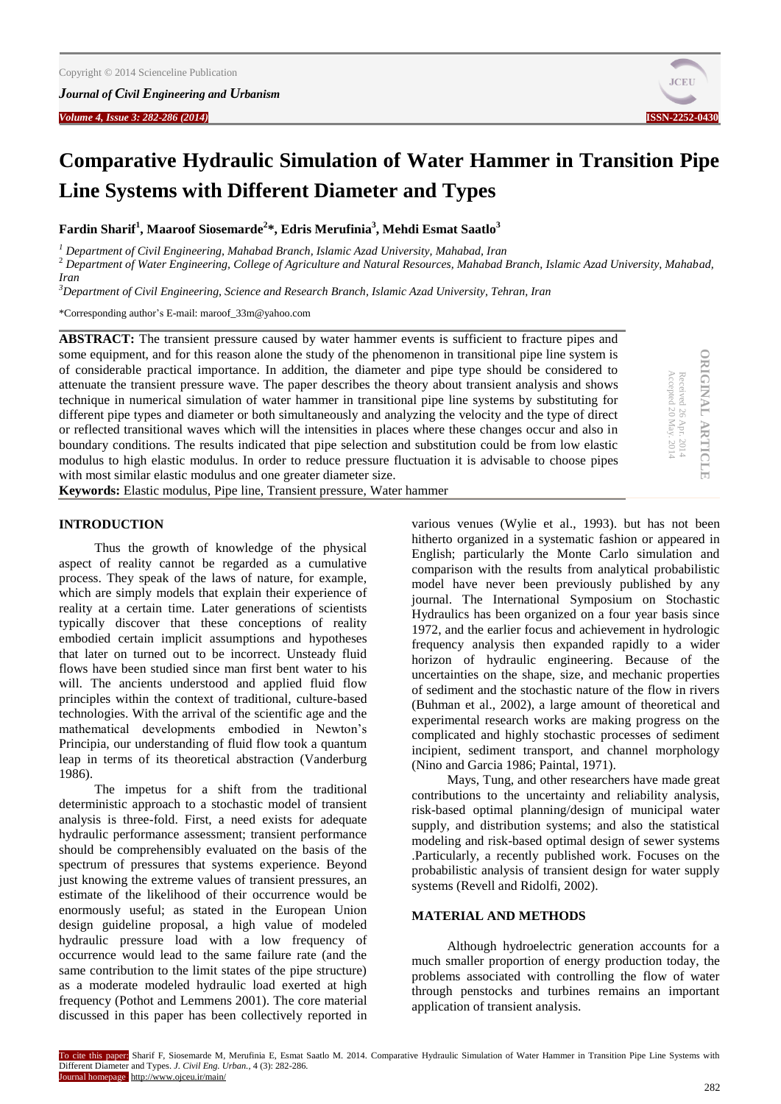*Journal of Civil Engineering and Urbanism*



**ORIGINAL ARTICLE**

**ORIGINAL ARTICLE** 

Received 26

Accepted 20

Apr. 2014 May. 2014

# **Comparative Hydraulic Simulation of Water Hammer in Transition Pipe Line Systems with Different Diameter and Types**

**Fardin Sharif<sup>1</sup> , Maaroof Siosemarde<sup>2</sup> \*, Edris Merufinia<sup>3</sup> , Mehdi Esmat Saatlo<sup>3</sup>**

*<sup>1</sup> Department of Civil Engineering, Mahabad Branch, Islamic Azad University, Mahabad, Iran*

<sup>2</sup> *Department of Water Engineering, College of Agriculture and Natural Resources, Mahabad Branch, Islamic Azad University, Mahabad, Iran*

*<sup>3</sup>Department of Civil Engineering, Science and Research Branch, Islamic Azad University, Tehran, Iran*

\*Corresponding author's E-mail: maroof\_33m@yahoo.com

**ABSTRACT:** The transient pressure caused by water hammer events is sufficient to fracture pipes and some equipment, and for this reason alone the study of the phenomenon in transitional pipe line system is of considerable practical importance. In addition, the diameter and pipe type should be considered to attenuate the transient pressure wave. The paper describes the theory about transient analysis and shows technique in numerical simulation of water hammer in transitional pipe line systems by substituting for different pipe types and diameter or both simultaneously and analyzing the velocity and the type of direct or reflected transitional waves which will the intensities in places where these changes occur and also in boundary conditions. The results indicated that pipe selection and substitution could be from low elastic modulus to high elastic modulus. In order to reduce pressure fluctuation it is advisable to choose pipes with most similar elastic modulus and one greater diameter size.

**Keywords:** Elastic modulus, Pipe line, Transient pressure, Water hammer

# **INTRODUCTION**

Thus the growth of knowledge of the physical aspect of reality cannot be regarded as a cumulative process. They speak of the laws of nature, for example, which are simply models that explain their experience of reality at a certain time. Later generations of scientists typically discover that these conceptions of reality embodied certain implicit assumptions and hypotheses that later on turned out to be incorrect. Unsteady fluid flows have been studied since man first bent water to his will. The ancients understood and applied fluid flow principles within the context of traditional, culture-based technologies. With the arrival of the scientific age and the mathematical developments embodied in Newton's Principia, our understanding of fluid flow took a quantum leap in terms of its theoretical abstraction (Vanderburg 1986).

The impetus for a shift from the traditional deterministic approach to a stochastic model of transient analysis is three-fold. First, a need exists for adequate hydraulic performance assessment; transient performance should be comprehensibly evaluated on the basis of the spectrum of pressures that systems experience. Beyond just knowing the extreme values of transient pressures, an estimate of the likelihood of their occurrence would be enormously useful; as stated in the European Union design guideline proposal, a high value of modeled hydraulic pressure load with a low frequency of occurrence would lead to the same failure rate (and the same contribution to the limit states of the pipe structure) as a moderate modeled hydraulic load exerted at high frequency (Pothot and Lemmens 2001). The core material discussed in this paper has been collectively reported in

various venues (Wylie et al., 1993). but has not been hitherto organized in a systematic fashion or appeared in English; particularly the Monte Carlo simulation and comparison with the results from analytical probabilistic model have never been previously published by any journal. The International Symposium on Stochastic Hydraulics has been organized on a four year basis since 1972, and the earlier focus and achievement in hydrologic frequency analysis then expanded rapidly to a wider horizon of hydraulic engineering. Because of the uncertainties on the shape, size, and mechanic properties of sediment and the stochastic nature of the flow in rivers (Buhman et al., 2002), a large amount of theoretical and experimental research works are making progress on the complicated and highly stochastic processes of sediment incipient, sediment transport, and channel morphology (Nino and Garcia 1986; Paintal, 1971).

Mays, Tung, and other researchers have made great contributions to the uncertainty and reliability analysis, risk-based optimal planning/design of municipal water supply, and distribution systems; and also the statistical modeling and risk-based optimal design of sewer systems .Particularly, a recently published work. Focuses on the probabilistic analysis of transient design for water supply systems (Revell and Ridolfi, 2002).

## **MATERIAL AND METHODS**

Although hydroelectric generation accounts for a much smaller proportion of energy production today, the problems associated with controlling the flow of water through penstocks and turbines remains an important application of transient analysis.

To cite this paper: Sharif F, Siosemarde M, Merufinia E, Esmat Saatlo M. 2014. Comparative Hydraulic Simulation of Water Hammer in Transition Pipe Line Systems with Different Diameter and Types. *J. Civil Eng. Urban.,* 4 (3): 282-286. Journal homepage: http://www.ojceu.ir/main/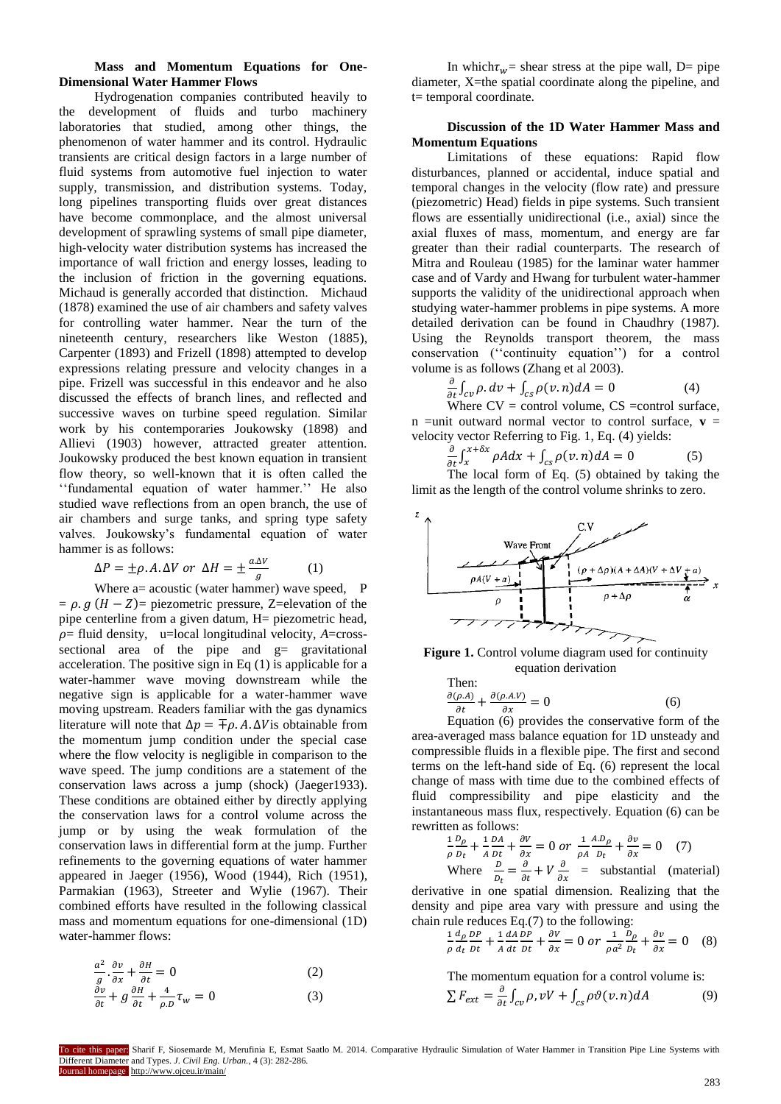## **Mass and Momentum Equations for One-Dimensional Water Hammer Flows**

Hydrogenation companies contributed heavily to the development of fluids and turbo machinery laboratories that studied, among other things, the phenomenon of water hammer and its control. Hydraulic transients are critical design factors in a large number of fluid systems from automotive fuel injection to water supply, transmission, and distribution systems. Today, long pipelines transporting fluids over great distances have become commonplace, and the almost universal development of sprawling systems of small pipe diameter, high-velocity water distribution systems has increased the importance of wall friction and energy losses, leading to the inclusion of friction in the governing equations. Michaud is generally accorded that distinction. Michaud (1878) examined the use of air chambers and safety valves for controlling water hammer. Near the turn of the nineteenth century, researchers like Weston (1885), Carpenter (1893) and Frizell (1898) attempted to develop expressions relating pressure and velocity changes in a pipe. Frizell was successful in this endeavor and he also discussed the effects of branch lines, and reflected and successive waves on turbine speed regulation. Similar work by his contemporaries Joukowsky (1898) and Allievi (1903) however, attracted greater attention. Joukowsky produced the best known equation in transient flow theory, so well-known that it is often called the ''fundamental equation of water hammer.'' He also studied wave reflections from an open branch, the use of air chambers and surge tanks, and spring type safety valves. Joukowsky's fundamental equation of water hammer is as follows:

$$
\Delta P = \pm \rho. A.\Delta V \text{ or } \Delta H = \pm \frac{a.\Delta V}{g} \tag{1}
$$

Where  $a=$  acoustic (water hammer) wave speed, P  $= \rho$ .  $g(H - Z)$ = piezometric pressure, Z=elevation of the pipe centerline from a given datum, H= piezometric head,  $\rho$ = fluid density, u=local longitudinal velocity,  $A$ =crosssectional area of the pipe and g= gravitational acceleration. The positive sign in Eq (1) is applicable for a water-hammer wave moving downstream while the negative sign is applicable for a water-hammer wave moving upstream. Readers familiar with the gas dynamics literature will note that  $\Delta p = \pm \rho$ . A.  $\Delta V$  is obtainable from the momentum jump condition under the special case where the flow velocity is negligible in comparison to the wave speed. The jump conditions are a statement of the conservation laws across a jump (shock) (Jaeger1933). These conditions are obtained either by directly applying the conservation laws for a control volume across the jump or by using the weak formulation of the conservation laws in differential form at the jump. Further refinements to the governing equations of water hammer appeared in Jaeger (1956), Wood (1944), Rich (1951), Parmakian (1963), Streeter and Wylie (1967). Their combined efforts have resulted in the following classical mass and momentum equations for one-dimensional (1D) water-hammer flows:

$$
\frac{a^2}{g} \cdot \frac{\partial v}{\partial x} + \frac{\partial H}{\partial t} = 0
$$
 (2)

$$
\frac{\partial v}{\partial t} + g \frac{\partial H}{\partial t} + \frac{4}{\rho D} \tau_w = 0 \tag{3}
$$

In which  $\tau_w$  = shear stress at the pipe wall, D = pipe diameter, X=the spatial coordinate along the pipeline, and t= temporal coordinate.

# **Discussion of the 1D Water Hammer Mass and Momentum Equations**

Limitations of these equations: Rapid flow disturbances, planned or accidental, induce spatial and temporal changes in the velocity (flow rate) and pressure (piezometric) Head) fields in pipe systems. Such transient flows are essentially unidirectional (i.e., axial) since the axial fluxes of mass, momentum, and energy are far greater than their radial counterparts. The research of Mitra and Rouleau (1985) for the laminar water hammer case and of Vardy and Hwang for turbulent water-hammer supports the validity of the unidirectional approach when studying water-hammer problems in pipe systems. A more detailed derivation can be found in Chaudhry (1987). Using the Reynolds transport theorem, the mass conservation (''continuity equation'') for a control volume is as follows (Zhang et al 2003).

$$
\frac{\partial}{\partial t} \int_{cv} \rho \, dv + \int_{cs} \rho(v, n) dA = 0 \tag{4}
$$

Where  $CV = control$  volume,  $CS = control$  surface, n =unit outward normal vector to control surface,  $\mathbf{v}$  = velocity vector Referring to Fig. 1, Eq. (4) yields:

$$
\frac{\partial}{\partial t} \int_{x}^{x+\delta x} \rho A dx + \int_{cs} \rho (v.n) dA = 0
$$
 (5)  
The local form of Eq. (5) obtained by taking the

limit as the length of the control volume shrinks to zero.



Figure 1. Control volume diagram used for continuity equation derivation

Then:  
\n
$$
\frac{\partial(\rho.A)}{\partial t} + \frac{\partial(\rho.A.V)}{\partial x} = 0
$$
\n(6)

Equation (6) provides the conservative form of the area-averaged mass balance equation for 1D unsteady and compressible fluids in a flexible pipe. The first and second terms on the left-hand side of Eq. (6) represent the local change of mass with time due to the combined effects of fluid compressibility and pipe elasticity and the instantaneous mass flux, respectively. Equation (6) can be rewritten as follows:

$$
\frac{1}{\rho} \frac{D\rho}{D_t} + \frac{1}{A} \frac{DA}{Dt} + \frac{\partial V}{\partial x} = 0 \text{ or } \frac{1}{\rho A} \frac{AD\rho}{D_t} + \frac{\partial v}{\partial x} = 0 \quad (7)
$$
  
Where 
$$
\frac{D}{D_t} = \frac{\partial}{\partial t} + V \frac{\partial}{\partial x} = \text{substantial} \quad (\text{material})
$$

derivative in one spatial dimension. Realizing that the density and pipe area vary with pressure and using the chain rule reduces Eq.(7) to the following:

$$
\frac{1}{\rho} \frac{d\rho}{d_t} \frac{DP}{Dt} + \frac{1}{A} \frac{dA}{dt} \frac{DP}{Dt} + \frac{\partial V}{\partial x} = 0 \text{ or } \frac{1}{\rho a^2} \frac{D\rho}{D_t} + \frac{\partial v}{\partial x} = 0 \quad (8)
$$

The momentum equation for a control volume is:  $\sum F_{ext} = \frac{\partial}{\partial t} \int_{cv} \rho$ ,  $vV + \int_{cs} \rho \vartheta(v, n) dv$ (9)

To cite this paper: Sharif F, Siosemarde M, Merufinia E, Esmat Saatlo M. 2014. Comparative Hydraulic Simulation of Water Hammer in Transition Pipe Line Systems with Different Diameter and Types. *J. Civil Eng. Urban.,* 4 (3): 282-286. Journal homepage: http://www.ojceu.ir/main/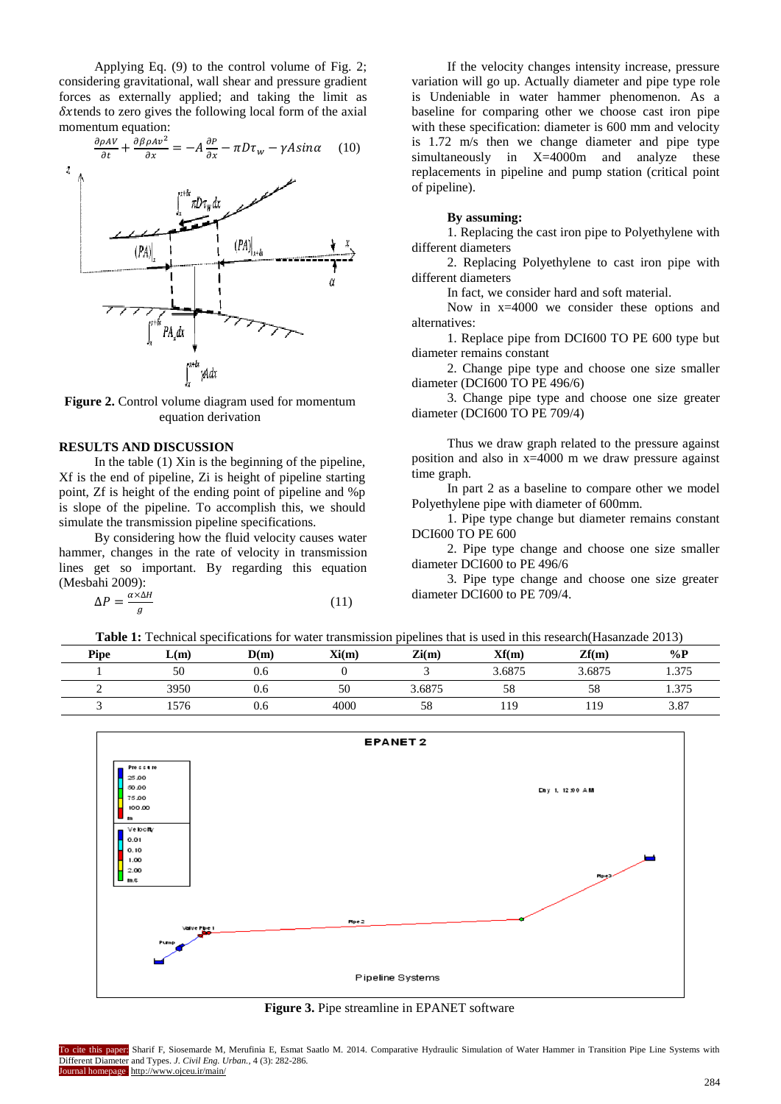Applying Eq. (9) to the control volume of Fig. 2; considering gravitational, wall shear and pressure gradient forces as externally applied; and taking the limit as  $\delta x$  tends to zero gives the following local form of the axial momentum equation:

$$
\frac{\partial \rho A V}{\partial t} + \frac{\partial \beta \rho A v^2}{\partial x} = -A \frac{\partial P}{\partial x} - \pi D \tau_w - \gamma A \sin \alpha \quad (10)
$$



Figure 2. Control volume diagram used for momentum equation derivation

#### **RESULTS AND DISCUSSION**

In the table (1) Xin is the beginning of the pipeline, Xf is the end of pipeline, Zi is height of pipeline starting point, Zf is height of the ending point of pipeline and %p is slope of the pipeline. To accomplish this, we should simulate the transmission pipeline specifications.

By considering how the fluid velocity causes water hammer, changes in the rate of velocity in transmission lines get so important. By regarding this equation (Mesbahi 2009):

$$
\Delta P = \frac{\alpha \times \Delta H}{g} \tag{11}
$$

If the velocity changes intensity increase, pressure variation will go up. Actually diameter and pipe type role is Undeniable in water hammer phenomenon. As a baseline for comparing other we choose cast iron pipe with these specification: diameter is 600 mm and velocity is 1.72 m/s then we change diameter and pipe type simultaneously in X=4000m and analyze these replacements in pipeline and pump station (critical point of pipeline).

#### **By assuming:**

1. Replacing the cast iron pipe to Polyethylene with different diameters

2. Replacing Polyethylene to cast iron pipe with different diameters

In fact, we consider hard and soft material.

Now in x=4000 we consider these options and alternatives:

1. Replace pipe from DCI600 TO PE 600 type but diameter remains constant

2. Change pipe type and choose one size smaller diameter (DCI600 TO PE 496/6)

3. Change pipe type and choose one size greater diameter (DCI600 TO PE 709/4)

Thus we draw graph related to the pressure against position and also in x=4000 m we draw pressure against time graph.

In part 2 as a baseline to compare other we model Polyethylene pipe with diameter of 600mm.

1. Pipe type change but diameter remains constant DCI600 TO PE 600

2. Pipe type change and choose one size smaller diameter DCI600 to PE 496/6

3. Pipe type change and choose one size greater diameter DCI600 to PE 709/4.

**Table 1:** Technical specifications for water transmission pipelines that is used in this research(Hasanzade 2013)

| <b>Pipe</b> | L(m) | D(m) | Xi(m) | $\mathbf{Zi}(\mathbf{m})$ | Xf(m)  | Zf(m)  | $\%P$ |
|-------------|------|------|-------|---------------------------|--------|--------|-------|
|             | 50   | 0.6  |       |                           | 3.6875 | 3.6875 | 1.375 |
|             | 3950 | 0.6  | 50    | 3.6875                    | 58     | 58     | 1.375 |
|             | 1576 | 0.6  | 4000  | 58                        | 119    | 119    | 3.87  |



**Figure 3.** Pipe streamline in EPANET software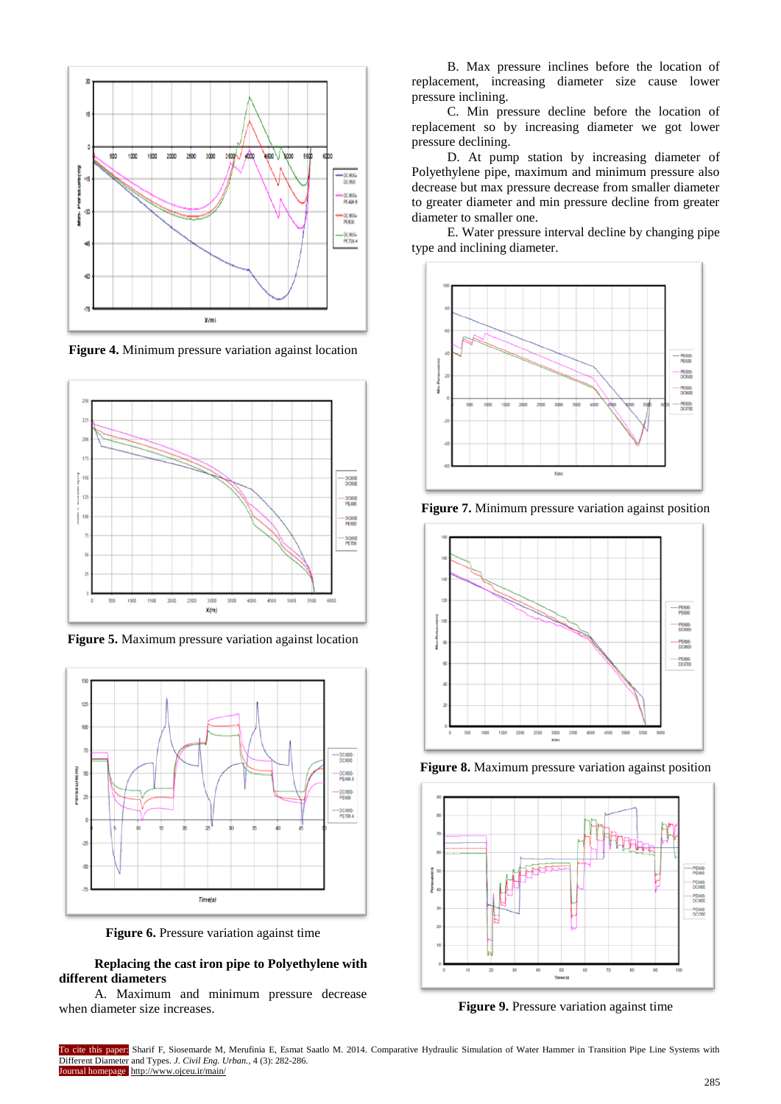

**Figure 4.** Minimum pressure variation against location



**Figure 5.** Maximum pressure variation against location



**Figure 6.** Pressure variation against time

## **Replacing the cast iron pipe to Polyethylene with different diameters**

A. Maximum and minimum pressure decrease when diameter size increases.

B. Max pressure inclines before the location of replacement, increasing diameter size cause lower pressure inclining.

C. Min pressure decline before the location of replacement so by increasing diameter we got lower pressure declining.

D. At pump station by increasing diameter of Polyethylene pipe, maximum and minimum pressure also decrease but max pressure decrease from smaller diameter to greater diameter and min pressure decline from greater diameter to smaller one.

E. Water pressure interval decline by changing pipe type and inclining diameter.



**Figure 7.** Minimum pressure variation against position



**Figure 8.** Maximum pressure variation against position



**Figure 9.** Pressure variation against time

To cite this paper: Sharif F, Siosemarde M, Merufinia E, Esmat Saatlo M. 2014. Comparative Hydraulic Simulation of Water Hammer in Transition Pipe Line Systems with Different Diameter and Types. *J. Civil Eng. Urban.,* 4 (3): 282-286. ournal homepage: http://www.ojceu.ir/main/